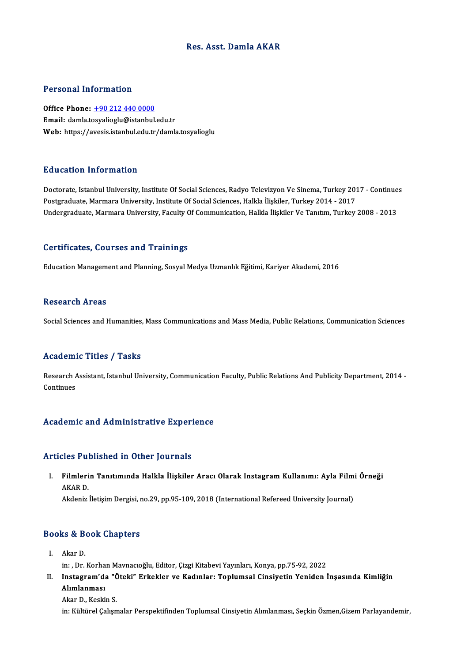#### Res. Asst. Damla AKAR

#### Personal Information

Office Phone: +90 212 440 0000 Email: damla.t[osyalioglu@istanbul](tel:+90 212 440 0000).edu.tr Web: https://avesis.istanbul.edu.tr/damla.tosyalioglu

#### Education Information

Doctorate, Istanbul University, Institute Of Social Sciences, Radyo Televizyon Ve Sinema, Turkey 2017 - Continues Postgraduate, Marmara University, Institute Of Social Sciences, Halkla İlişkiler, Turkey 2014 - 2017 Undergraduate, Marmara University, Faculty Of Communication, Halkla İlişkiler Ve Tanıtım, Turkey 2008 - 2013

#### Certificates, Courses and Trainings

Education Management and Planning, Sosyal Medya Uzmanlık Eğitimi, Kariyer Akademi, 2016

#### **Research Areas**

Social Sciences and Humanities, Mass Communications and Mass Media, Public Relations, Communication Sciences

#### Academic Titles / Tasks

Academic Titles / Tasks<br>Research Assistant, Istanbul University, Communication Faculty, Public Relations And Publicity Department, 2014 -<br>Continues Research A<br>Continues

## Academic and Administrative Experience

#### Articles Published in Other Journals

rticles Published in Other Journals<br>I. Filmlerin Tanıtımında Halkla İlişkiler Aracı Olarak Instagram Kullanımı: Ayla Filmi Örneği<br>AKAR D Filmleri<br>Filmleri<br>AKAR D. AKAR D.<br>Akdeniz İletişim Dergisi, no.29, pp.95-109, 2018 (International Refereed University Journal)

### Akdeniz neuşim Dergisi, r<br>Books & Book Chapters ooks & B<br>I. Akar D.<br>in: Pr.

I. Akar D.<br>in: , Dr. Korhan Mavnacıoğlu, Editor, Çizgi Kitabevi Yayınları, Konya, pp.75-92, 2022

I. Akar D.<br>in: , Dr. Korhan Mavnacıoğlu, Editor, Çizgi Kitabevi Yayınları, Konya, pp.75-92, 2022<br>II. Instagram'da "Öteki" Erkekler ve Kadınlar: Toplumsal Cinsiyetin Yeniden İnşasında Kimliğin<br>Alımlanması in: , Dr. Korha<br>Instagram'da<br>Alımlanması<br>Alım D. Koski I<mark>nstagram'da "Č</mark><br>Alımlanması<br>Akar D., Keskin S.<br>in: Kültürel Celun Al<mark>ımlanması</mark><br>Akar D., Keskin S.<br>in: Kültürel Çalışmalar Perspektifinden Toplumsal Cinsiyetin Alımlanması, Seçkin Özmen,Gizem Parlayandemir,